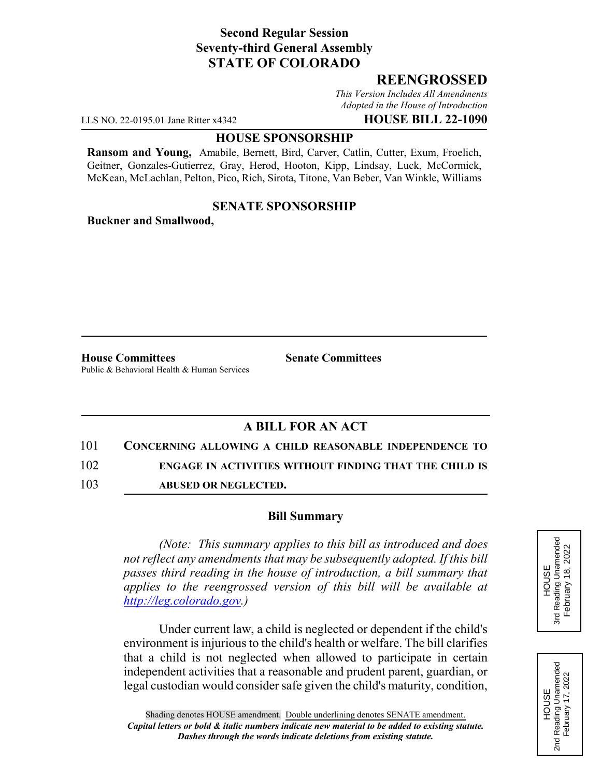# **Second Regular Session Seventy-third General Assembly STATE OF COLORADO**

# **REENGROSSED**

*This Version Includes All Amendments Adopted in the House of Introduction*

LLS NO. 22-0195.01 Jane Ritter x4342 **HOUSE BILL 22-1090**

#### **HOUSE SPONSORSHIP**

**Ransom and Young,** Amabile, Bernett, Bird, Carver, Catlin, Cutter, Exum, Froelich, Geitner, Gonzales-Gutierrez, Gray, Herod, Hooton, Kipp, Lindsay, Luck, McCormick, McKean, McLachlan, Pelton, Pico, Rich, Sirota, Titone, Van Beber, Van Winkle, Williams

### **SENATE SPONSORSHIP**

**Buckner and Smallwood,**

**House Committees Senate Committees** Public & Behavioral Health & Human Services

# **A BILL FOR AN ACT**

### 101 **CONCERNING ALLOWING A CHILD REASONABLE INDEPENDENCE TO**

102 **ENGAGE IN ACTIVITIES WITHOUT FINDING THAT THE CHILD IS**

103 **ABUSED OR NEGLECTED.**

### **Bill Summary**

*(Note: This summary applies to this bill as introduced and does not reflect any amendments that may be subsequently adopted. If this bill passes third reading in the house of introduction, a bill summary that applies to the reengrossed version of this bill will be available at http://leg.colorado.gov.)*

Under current law, a child is neglected or dependent if the child's environment is injurious to the child's health or welfare. The bill clarifies that a child is not neglected when allowed to participate in certain independent activities that a reasonable and prudent parent, guardian, or legal custodian would consider safe given the child's maturity, condition,



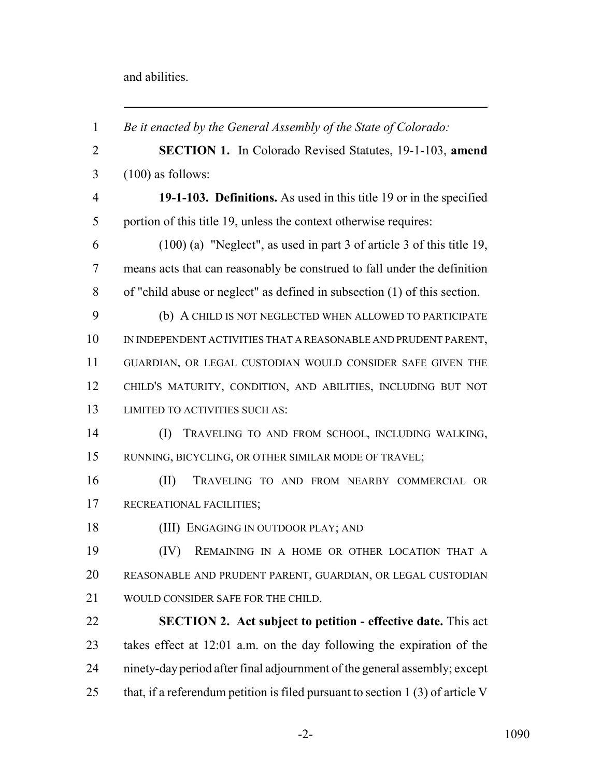and abilities.

| $\overline{2}$<br><b>SECTION 1.</b> In Colorado Revised Statutes, 19-1-103, amend<br>$(100)$ as follows:<br>3<br>$\overline{4}$<br>19-1-103. Definitions. As used in this title 19 or in the specified<br>5<br>portion of this title 19, unless the context otherwise requires:<br>$(100)$ (a) "Neglect", as used in part 3 of article 3 of this title 19,<br>6<br>means acts that can reasonably be construed to fall under the definition<br>7<br>8<br>of "child abuse or neglect" as defined in subsection $(1)$ of this section.<br>9<br>(b) A CHILD IS NOT NEGLECTED WHEN ALLOWED TO PARTICIPATE<br>10<br>IN INDEPENDENT ACTIVITIES THAT A REASONABLE AND PRUDENT PARENT,<br>11<br>GUARDIAN, OR LEGAL CUSTODIAN WOULD CONSIDER SAFE GIVEN THE<br>12<br>CHILD'S MATURITY, CONDITION, AND ABILITIES, INCLUDING BUT NOT<br>13<br>LIMITED TO ACTIVITIES SUCH AS:<br>14<br>(I)<br>TRAVELING TO AND FROM SCHOOL, INCLUDING WALKING,<br>15<br>RUNNING, BICYCLING, OR OTHER SIMILAR MODE OF TRAVEL;<br>16<br>(II)<br>TRAVELING TO AND FROM NEARBY COMMERCIAL OR<br>17<br>RECREATIONAL FACILITIES;<br>18<br>(III) ENGAGING IN OUTDOOR PLAY; AND<br>19<br>(IV)<br>REMAINING IN A HOME OR OTHER LOCATION THAT A<br>20<br>REASONABLE AND PRUDENT PARENT, GUARDIAN, OR LEGAL CUSTODIAN<br>21<br>WOULD CONSIDER SAFE FOR THE CHILD.<br>22<br><b>SECTION 2. Act subject to petition - effective date.</b> This act<br>23<br>takes effect at 12:01 a.m. on the day following the expiration of the<br>24<br>ninety-day period after final adjournment of the general assembly; except<br>that, if a referendum petition is filed pursuant to section $1(3)$ of article V<br>25 | $\mathbf{1}$ | Be it enacted by the General Assembly of the State of Colorado: |
|---------------------------------------------------------------------------------------------------------------------------------------------------------------------------------------------------------------------------------------------------------------------------------------------------------------------------------------------------------------------------------------------------------------------------------------------------------------------------------------------------------------------------------------------------------------------------------------------------------------------------------------------------------------------------------------------------------------------------------------------------------------------------------------------------------------------------------------------------------------------------------------------------------------------------------------------------------------------------------------------------------------------------------------------------------------------------------------------------------------------------------------------------------------------------------------------------------------------------------------------------------------------------------------------------------------------------------------------------------------------------------------------------------------------------------------------------------------------------------------------------------------------------------------------------------------------------------------------------------------------------------------------------------------------|--------------|-----------------------------------------------------------------|
|                                                                                                                                                                                                                                                                                                                                                                                                                                                                                                                                                                                                                                                                                                                                                                                                                                                                                                                                                                                                                                                                                                                                                                                                                                                                                                                                                                                                                                                                                                                                                                                                                                                                     |              |                                                                 |
|                                                                                                                                                                                                                                                                                                                                                                                                                                                                                                                                                                                                                                                                                                                                                                                                                                                                                                                                                                                                                                                                                                                                                                                                                                                                                                                                                                                                                                                                                                                                                                                                                                                                     |              |                                                                 |
|                                                                                                                                                                                                                                                                                                                                                                                                                                                                                                                                                                                                                                                                                                                                                                                                                                                                                                                                                                                                                                                                                                                                                                                                                                                                                                                                                                                                                                                                                                                                                                                                                                                                     |              |                                                                 |
|                                                                                                                                                                                                                                                                                                                                                                                                                                                                                                                                                                                                                                                                                                                                                                                                                                                                                                                                                                                                                                                                                                                                                                                                                                                                                                                                                                                                                                                                                                                                                                                                                                                                     |              |                                                                 |
|                                                                                                                                                                                                                                                                                                                                                                                                                                                                                                                                                                                                                                                                                                                                                                                                                                                                                                                                                                                                                                                                                                                                                                                                                                                                                                                                                                                                                                                                                                                                                                                                                                                                     |              |                                                                 |
|                                                                                                                                                                                                                                                                                                                                                                                                                                                                                                                                                                                                                                                                                                                                                                                                                                                                                                                                                                                                                                                                                                                                                                                                                                                                                                                                                                                                                                                                                                                                                                                                                                                                     |              |                                                                 |
|                                                                                                                                                                                                                                                                                                                                                                                                                                                                                                                                                                                                                                                                                                                                                                                                                                                                                                                                                                                                                                                                                                                                                                                                                                                                                                                                                                                                                                                                                                                                                                                                                                                                     |              |                                                                 |
|                                                                                                                                                                                                                                                                                                                                                                                                                                                                                                                                                                                                                                                                                                                                                                                                                                                                                                                                                                                                                                                                                                                                                                                                                                                                                                                                                                                                                                                                                                                                                                                                                                                                     |              |                                                                 |
|                                                                                                                                                                                                                                                                                                                                                                                                                                                                                                                                                                                                                                                                                                                                                                                                                                                                                                                                                                                                                                                                                                                                                                                                                                                                                                                                                                                                                                                                                                                                                                                                                                                                     |              |                                                                 |
|                                                                                                                                                                                                                                                                                                                                                                                                                                                                                                                                                                                                                                                                                                                                                                                                                                                                                                                                                                                                                                                                                                                                                                                                                                                                                                                                                                                                                                                                                                                                                                                                                                                                     |              |                                                                 |
|                                                                                                                                                                                                                                                                                                                                                                                                                                                                                                                                                                                                                                                                                                                                                                                                                                                                                                                                                                                                                                                                                                                                                                                                                                                                                                                                                                                                                                                                                                                                                                                                                                                                     |              |                                                                 |
|                                                                                                                                                                                                                                                                                                                                                                                                                                                                                                                                                                                                                                                                                                                                                                                                                                                                                                                                                                                                                                                                                                                                                                                                                                                                                                                                                                                                                                                                                                                                                                                                                                                                     |              |                                                                 |
|                                                                                                                                                                                                                                                                                                                                                                                                                                                                                                                                                                                                                                                                                                                                                                                                                                                                                                                                                                                                                                                                                                                                                                                                                                                                                                                                                                                                                                                                                                                                                                                                                                                                     |              |                                                                 |
|                                                                                                                                                                                                                                                                                                                                                                                                                                                                                                                                                                                                                                                                                                                                                                                                                                                                                                                                                                                                                                                                                                                                                                                                                                                                                                                                                                                                                                                                                                                                                                                                                                                                     |              |                                                                 |
|                                                                                                                                                                                                                                                                                                                                                                                                                                                                                                                                                                                                                                                                                                                                                                                                                                                                                                                                                                                                                                                                                                                                                                                                                                                                                                                                                                                                                                                                                                                                                                                                                                                                     |              |                                                                 |
|                                                                                                                                                                                                                                                                                                                                                                                                                                                                                                                                                                                                                                                                                                                                                                                                                                                                                                                                                                                                                                                                                                                                                                                                                                                                                                                                                                                                                                                                                                                                                                                                                                                                     |              |                                                                 |
|                                                                                                                                                                                                                                                                                                                                                                                                                                                                                                                                                                                                                                                                                                                                                                                                                                                                                                                                                                                                                                                                                                                                                                                                                                                                                                                                                                                                                                                                                                                                                                                                                                                                     |              |                                                                 |
|                                                                                                                                                                                                                                                                                                                                                                                                                                                                                                                                                                                                                                                                                                                                                                                                                                                                                                                                                                                                                                                                                                                                                                                                                                                                                                                                                                                                                                                                                                                                                                                                                                                                     |              |                                                                 |
|                                                                                                                                                                                                                                                                                                                                                                                                                                                                                                                                                                                                                                                                                                                                                                                                                                                                                                                                                                                                                                                                                                                                                                                                                                                                                                                                                                                                                                                                                                                                                                                                                                                                     |              |                                                                 |
|                                                                                                                                                                                                                                                                                                                                                                                                                                                                                                                                                                                                                                                                                                                                                                                                                                                                                                                                                                                                                                                                                                                                                                                                                                                                                                                                                                                                                                                                                                                                                                                                                                                                     |              |                                                                 |
|                                                                                                                                                                                                                                                                                                                                                                                                                                                                                                                                                                                                                                                                                                                                                                                                                                                                                                                                                                                                                                                                                                                                                                                                                                                                                                                                                                                                                                                                                                                                                                                                                                                                     |              |                                                                 |
|                                                                                                                                                                                                                                                                                                                                                                                                                                                                                                                                                                                                                                                                                                                                                                                                                                                                                                                                                                                                                                                                                                                                                                                                                                                                                                                                                                                                                                                                                                                                                                                                                                                                     |              |                                                                 |
|                                                                                                                                                                                                                                                                                                                                                                                                                                                                                                                                                                                                                                                                                                                                                                                                                                                                                                                                                                                                                                                                                                                                                                                                                                                                                                                                                                                                                                                                                                                                                                                                                                                                     |              |                                                                 |
|                                                                                                                                                                                                                                                                                                                                                                                                                                                                                                                                                                                                                                                                                                                                                                                                                                                                                                                                                                                                                                                                                                                                                                                                                                                                                                                                                                                                                                                                                                                                                                                                                                                                     |              |                                                                 |